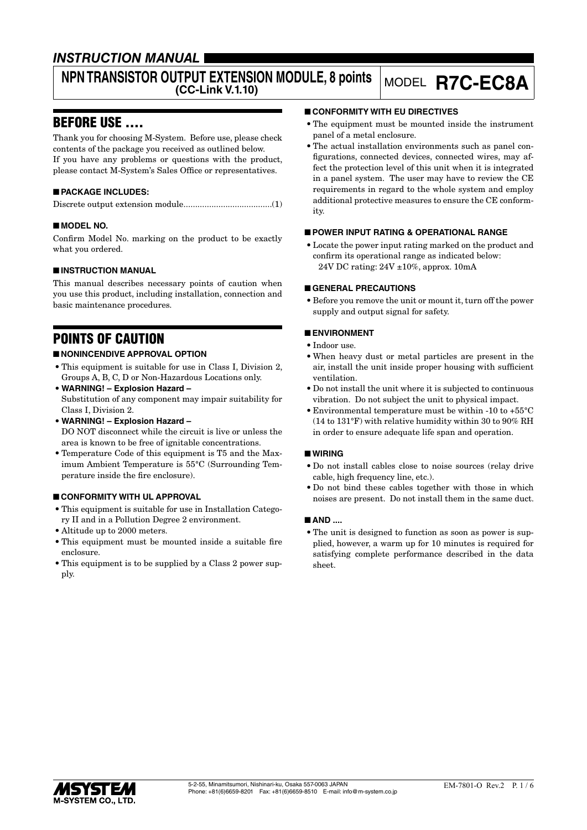## *INSTRUCTION MANUAL*

# **NPN TRANSISTOR OUTPUT EXTENSION MODULE, 8 points**

## **(CC-Link V.1.10)** MODEL **R7C-EC8A**

## BEFORE USE ....

Thank you for choosing M-System. Before use, please check contents of the package you received as outlined below. If you have any problems or questions with the product, please contact M-System's Sales Office or representatives.

#### ■ **PACKAGE INCLUDES:**

Discrete output extension module......................................(1)

#### ■ **MODEL NO.**

Confirm Model No. marking on the product to be exactly what you ordered.

#### ■ **INSTRUCTION MANUAL**

This manual describes necessary points of caution when you use this product, including installation, connection and basic maintenance procedures.

## POINTS OF CAUTION

#### ■ **NONINCENDIVE APPROVAL OPTION**

- This equipment is suitable for use in Class I, Division 2, Groups A, B, C, D or Non-Hazardous Locations only.
- **WARNING! Explosion Hazard –** Substitution of any component may impair suitability for Class I, Division 2.
- **WARNING! Explosion Hazard –** DO NOT disconnect while the circuit is live or unless the area is known to be free of ignitable concentrations.
- Temperature Code of this equipment is T5 and the Maximum Ambient Temperature is 55°C (Surrounding Temperature inside the fire enclosure).

#### ■ **CONFORMITY WITH UL APPROVAL**

- This equipment is suitable for use in Installation Category II and in a Pollution Degree 2 environment.
- Altitude up to 2000 meters.
- This equipment must be mounted inside a suitable fire enclosure.
- This equipment is to be supplied by a Class 2 power supply.

#### ■ **CONFORMITY WITH EU DIRECTIVES**

- The equipment must be mounted inside the instrument panel of a metal enclosure.
- The actual installation environments such as panel configurations, connected devices, connected wires, may affect the protection level of this unit when it is integrated in a panel system. The user may have to review the CE requirements in regard to the whole system and employ additional protective measures to ensure the CE conformity.

#### ■ **POWER INPUT RATING & OPERATIONAL RANGE**

• Locate the power input rating marked on the product and confirm its operational range as indicated below: 24V DC rating: 24V ±10%, approx. 10mA

#### ■ **GENERAL PRECAUTIONS**

• Before you remove the unit or mount it, turn off the power supply and output signal for safety.

#### ■ **ENVIRONMENT**

- Indoor use.
- When heavy dust or metal particles are present in the air, install the unit inside proper housing with sufficient ventilation.
- Do not install the unit where it is subjected to continuous vibration. Do not subject the unit to physical impact.
- Environmental temperature must be within -10 to +55°C (14 to 131°F) with relative humidity within 30 to 90% RH in order to ensure adequate life span and operation.

#### ■ **WIRING**

- Do not install cables close to noise sources (relay drive cable, high frequency line, etc.).
- Do not bind these cables together with those in which noises are present. Do not install them in the same duct.

#### ■ **AND ....**

• The unit is designed to function as soon as power is supplied, however, a warm up for 10 minutes is required for satisfying complete performance described in the data sheet.

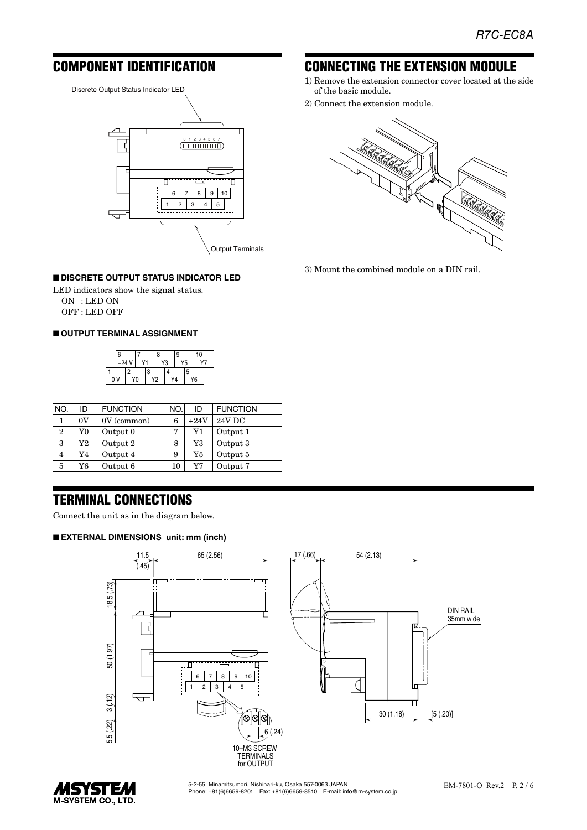## COMPONENT IDENTIFICATION

Discrete Output Status Indicator LED



#### ■ **DISCRETE OUTPUT STATUS INDICATOR LED**

LED indicators show the signal status. ON : LED ON OFF : LED OFF

#### ■ **OUTPUT TERMINAL ASSIGNMENT**



| NO.            | ID | <b>FUNCTION</b> | NO. | ID          | <b>FUNCTION</b> |
|----------------|----|-----------------|-----|-------------|-----------------|
| 1              | 0V | $0V$ (common)   | 6   | $+24V$      | <b>24V DC</b>   |
| $\overline{2}$ | Y0 | Output 0        | 7   | Y1          | Output 1        |
| 3              | Y2 | Output 2        | 8   | $_{\rm Y3}$ | Output 3        |
| 4              | Y4 | Output 4        | 9   | Y5          | Output 5        |
| 5              | Y6 | Output 6        | 10  | Y7          | Output 7        |

## TERMINAL CONNECTIONS

Connect the unit as in the diagram below.

#### ■ **EXTERNAL DIMENSIONS unit: mm (inch)**







## CONNECTING THE EXTENSION MODULE

- 1) Remove the extension connector cover located at the side of the basic module.
- 2) Connect the extension module.



3) Mount the combined module on a DIN rail.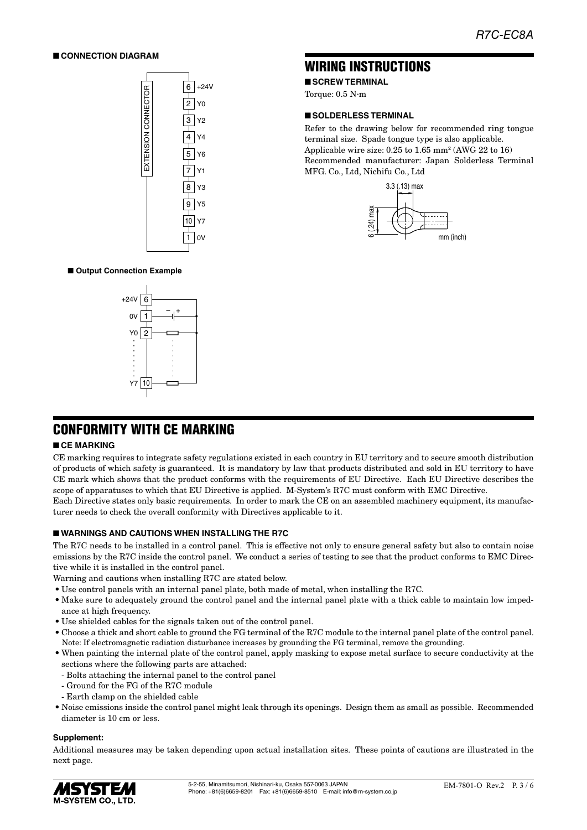#### ■ **CONNECTION DIAGRAM**



## WIRING INSTRUCTIONS

■ **SCREW TERMINAL** 

Torque: 0.5 N·m

#### ■ **SOLDERLESS TERMINAL**

Refer to the drawing below for recommended ring tongue terminal size. Spade tongue type is also applicable. Applicable wire size:  $0.25$  to  $1.65$  mm<sup>2</sup> (AWG 22 to 16) Recommended manufacturer: Japan Solderless Terminal MFG. Co., Ltd, Nichifu Co., Ltd



#### ■ Output Connection Example



## CONFORMITY WITH CE MARKING

#### ■ **CE MARKING**

CE marking requires to integrate safety regulations existed in each country in EU territory and to secure smooth distribution of products of which safety is guaranteed. It is mandatory by law that products distributed and sold in EU territory to have CE mark which shows that the product conforms with the requirements of EU Directive. Each EU Directive describes the scope of apparatuses to which that EU Directive is applied. M-System's R7C must conform with EMC Directive.

Each Directive states only basic requirements. In order to mark the CE on an assembled machinery equipment, its manufacturer needs to check the overall conformity with Directives applicable to it.

#### ■ **WARNINGS AND CAUTIONS WHEN INSTALLING THE R7C**

The R7C needs to be installed in a control panel. This is effective not only to ensure general safety but also to contain noise emissions by the R7C inside the control panel. We conduct a series of testing to see that the product conforms to EMC Directive while it is installed in the control panel.

Warning and cautions when installing R7C are stated below.

- Use control panels with an internal panel plate, both made of metal, when installing the R7C.
- Make sure to adequately ground the control panel and the internal panel plate with a thick cable to maintain low impedance at high frequency.
- Use shielded cables for the signals taken out of the control panel.
- Choose a thick and short cable to ground the FG terminal of the R7C module to the internal panel plate of the control panel. Note: If electromagnetic radiation disturbance increases by grounding the FG terminal, remove the grounding.
- When painting the internal plate of the control panel, apply masking to expose metal surface to secure conductivity at the sections where the following parts are attached:
	- Bolts attaching the internal panel to the control panel
	- Ground for the FG of the R7C module
- Earth clamp on the shielded cable
- Noise emissions inside the control panel might leak through its openings. Design them as small as possible. Recommended diameter is 10 cm or less.

#### **Supplement:**

Additional measures may be taken depending upon actual installation sites. These points of cautions are illustrated in the next page.

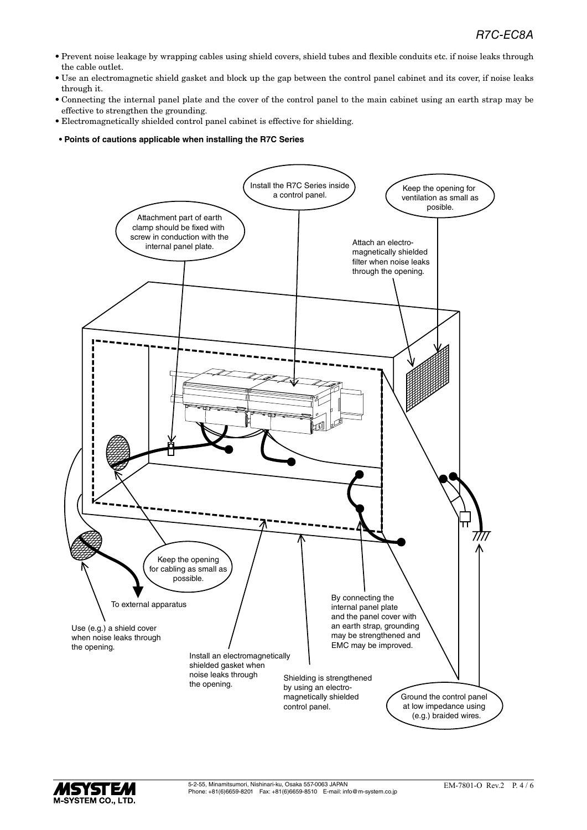- Prevent noise leakage by wrapping cables using shield covers, shield tubes and flexible conduits etc. if noise leaks through the cable outlet.
- Use an electromagnetic shield gasket and block up the gap between the control panel cabinet and its cover, if noise leaks through it.
- Connecting the internal panel plate and the cover of the control panel to the main cabinet using an earth strap may be effective to strengthen the grounding.
- Electromagnetically shielded control panel cabinet is effective for shielding.
- **Points of cautions applicable when installing the R7C Series**

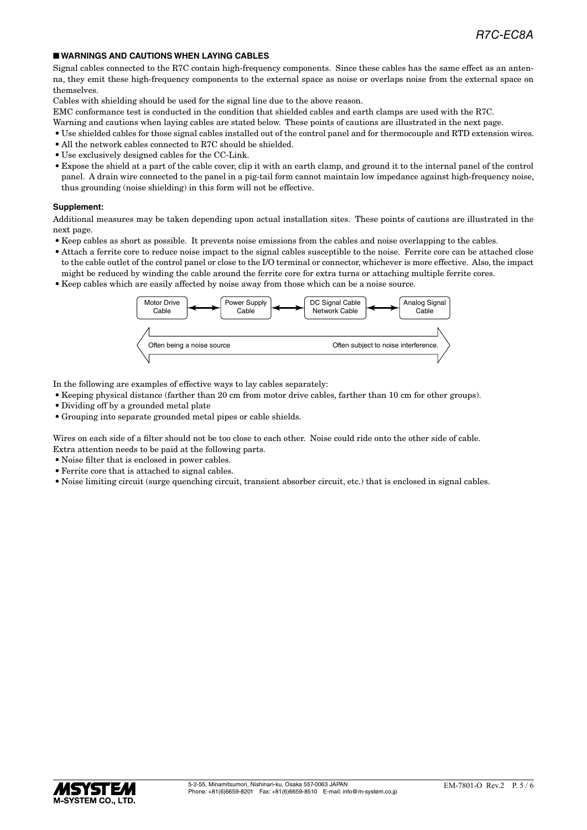#### ■ **WARNINGS AND CAUTIONS WHEN LAYING CABLES**

Signal cables connected to the R7C contain high-frequency components. Since these cables has the same effect as an antenna, they emit these high-frequency components to the external space as noise or overlaps noise from the external space on themselves.

Cables with shielding should be used for the signal line due to the above reason.

EMC conformance test is conducted in the condition that shielded cables and earth clamps are used with the R7C.

- Warning and cautions when laying cables are stated below. These points of cautions are illustrated in the next page.
- Use shielded cables for those signal cables installed out of the control panel and for thermocouple and RTD extension wires.
- All the network cables connected to R7C should be shielded.
- Use exclusively designed cables for the CC-Link.
- Expose the shield at a part of the cable cover, clip it with an earth clamp, and ground it to the internal panel of the control panel. A drain wire connected to the panel in a pig-tail form cannot maintain low impedance against high-frequency noise, thus grounding (noise shielding) in this form will not be effective.

#### **Supplement:**

Additional measures may be taken depending upon actual installation sites. These points of cautions are illustrated in the next page.

- Keep cables as short as possible. It prevents noise emissions from the cables and noise overlapping to the cables.
- Attach a ferrite core to reduce noise impact to the signal cables susceptible to the noise. Ferrite core can be attached close to the cable outlet of the control panel or close to the I/O terminal or connector, whichever is more effective. Also, the impact might be reduced by winding the cable around the ferrite core for extra turns or attaching multiple ferrite cores.
- Keep cables which are easily affected by noise away from those which can be a noise source.



In the following are examples of effective ways to lay cables separately:

- Keeping physical distance (farther than 20 cm from motor drive cables, farther than 10 cm for other groups).
- Dividing off by a grounded metal plate
- Grouping into separate grounded metal pipes or cable shields.

Wires on each side of a filter should not be too close to each other. Noise could ride onto the other side of cable. Extra attention needs to be paid at the following parts.

- Noise filter that is enclosed in power cables.
- Ferrite core that is attached to signal cables.
- Noise limiting circuit (surge quenching circuit, transient absorber circuit, etc.) that is enclosed in signal cables.